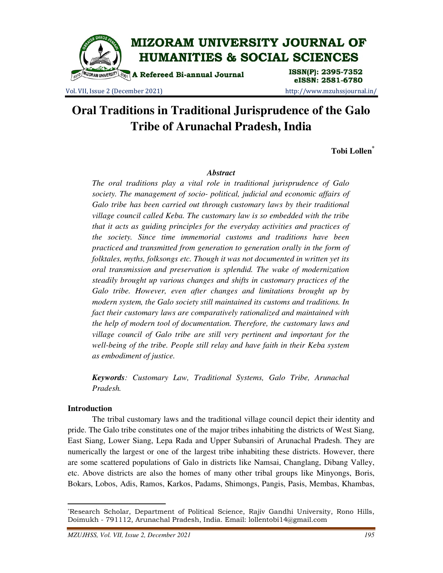

Vol. VII, Issue 2 (December 2021) http://www.mzuhssjournal.in/

# eISSN: 2581-6780

# **Oral Traditions in Traditional Jurisprudence of the Galo Tribe of Arunachal Pradesh, India**

**Tobi Lollen\***

# *Abstract*

*The oral traditions play a vital role in traditional jurisprudence of Galo society. The management of socio- political, judicial and economic affairs of Galo tribe has been carried out through customary laws by their traditional village council called Keba. The customary law is so embedded with the tribe that it acts as guiding principles for the everyday activities and practices of the society. Since time immemorial customs and traditions have been practiced and transmitted from generation to generation orally in the form of folktales, myths, folksongs etc. Though it was not documented in written yet its oral transmission and preservation is splendid. The wake of modernization steadily brought up various changes and shifts in customary practices of the Galo tribe. However, even after changes and limitations brought up by modern system, the Galo society still maintained its customs and traditions. In fact their customary laws are comparatively rationalized and maintained with the help of modern tool of documentation. Therefore, the customary laws and village council of Galo tribe are still very pertinent and important for the well-being of the tribe. People still relay and have faith in their Keba system as embodiment of justice.* 

*Keywords: Customary Law, Traditional Systems, Galo Tribe, Arunachal Pradesh.* 

### **Introduction**

 $\overline{a}$ 

 The tribal customary laws and the traditional village council depict their identity and pride. The Galo tribe constitutes one of the major tribes inhabiting the districts of West Siang, East Siang, Lower Siang, Lepa Rada and Upper Subansiri of Arunachal Pradesh. They are numerically the largest or one of the largest tribe inhabiting these districts. However, there are some scattered populations of Galo in districts like Namsai, Changlang, Dibang Valley, etc. Above districts are also the homes of many other tribal groups like Minyongs, Boris, Bokars, Lobos, Adis, Ramos, Karkos, Padams, Shimongs, Pangis, Pasis, Membas, Khambas,

<sup>\*</sup>Research Scholar, Department of Political Science, Rajiv Gandhi University, Rono Hills, Doimukh - 791112, Arunachal Pradesh, India. Email: lollentobi14@gmail.com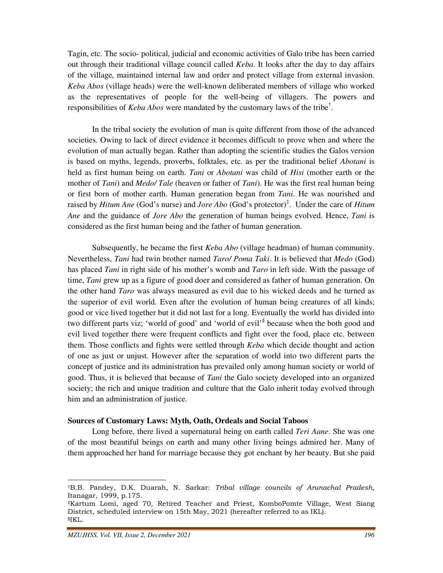Tagin, etc. The socio- political, judicial and economic activities of Galo tribe has been carried out through their traditional village council called *Keba*. It looks after the day to day affairs of the village, maintained internal law and order and protect village from external invasion. *Keba Abos* (village heads) were the well-known deliberated members of village who worked as the representatives of people for the well-being of villagers. The powers and responsibilities of *Keba Abos* were mandated by the customary laws of the tribe† .

 In the tribal society the evolution of man is quite different from those of the advanced societies. Owing to lack of direct evidence it becomes difficult to prove when and where the evolution of man actually began. Rather than adopting the scientific studies the Galos version is based on myths, legends, proverbs, folktales, etc. as per the traditional belief *Abotani* is held as first human being on earth. *Tani* or *Abotani* was child of *Hisi* (mother earth or the mother of *Tani*) and *Medo/ Tale* (heaven or father of *Tani*). He was the first real human being or first born of mother earth. Human generation began from *Tani*. He was nourished and raised by *Hitum Ane* (God's nurse) and *Jore Abo* (God's protector)‡ . Under the care of *Hitum Ane* and the guidance of *Jore Abo* the generation of human beings evolved. Hence, *Tani* is considered as the first human being and the father of human generation.

 Subsequently, he became the first *Keba Abo* (village headman) of human community. Nevertheless, *Tani* had twin brother named *Taro/ Poma Taki*. It is believed that *Medo* (God) has placed *Tani* in right side of his mother's womb and *Taro* in left side. With the passage of time, *Tani* grew up as a figure of good doer and considered as father of human generation. On the other hand *Taro* was always measured as evil due to his wicked deeds and he turned as the superior of evil world. Even after the evolution of human being creatures of all kinds; good or vice lived together but it did not last for a long. Eventually the world has divided into two different parts viz; 'world of good' and 'world of evil'<sup>§</sup> because when the both good and evil lived together there were frequent conflicts and fight over the food, place etc. between them. Those conflicts and fights were settled through *Keba* which decide thought and action of one as just or unjust. However after the separation of world into two different parts the concept of justice and its administration has prevailed only among human society or world of good. Thus, it is believed that because of *Tani* the Galo society developed into an organized society; the rich and unique tradition and culture that the Galo inherit today evolved through him and an administration of justice.

#### **Sources of Customary Laws: Myth, Oath, Ordeals and Social Taboos**

 Long before, there lived a supernatural being on earth called *Teri Aane*. She was one of the most beautiful beings on earth and many other living beings admired her. Many of them approached her hand for marriage because they got enchant by her beauty. But she paid

<sup>†</sup>B.B. Pandey, D.K. Duarah, N. Sarkar: Tribal village councils of Arunachal Pradesh, Itanagar, 1999, p.175.

<sup>‡</sup>Kartum Lomi, aged 70, Retired Teacher and Priest, KomboPomte Village, West Siang District, scheduled interview on 15th May, 2021 (hereafter referred to as IKL). §IKL.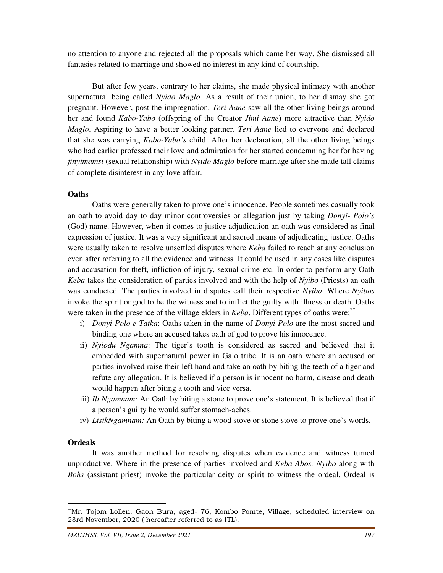no attention to anyone and rejected all the proposals which came her way. She dismissed all fantasies related to marriage and showed no interest in any kind of courtship.

 But after few years, contrary to her claims, she made physical intimacy with another supernatural being called *Nyido Maglo*. As a result of their union, to her dismay she got pregnant. However, post the impregnation, *Teri Aane* saw all the other living beings around her and found *Kabo-Yabo* (offspring of the Creator *Jimi Aane*) more attractive than *Nyido Maglo*. Aspiring to have a better looking partner, *Teri Aane* lied to everyone and declared that she was carrying *Kabo-Yabo's* child. After her declaration, all the other living beings who had earlier professed their love and admiration for her started condemning her for having *jinyimamsi* (sexual relationship) with *Nyido Maglo* before marriage after she made tall claims of complete disinterest in any love affair.

#### **Oaths**

 Oaths were generally taken to prove one's innocence. People sometimes casually took an oath to avoid day to day minor controversies or allegation just by taking *Donyi- Polo's* (God) name. However, when it comes to justice adjudication an oath was considered as final expression of justice. It was a very significant and sacred means of adjudicating justice. Oaths were usually taken to resolve unsettled disputes where *Keba* failed to reach at any conclusion even after referring to all the evidence and witness. It could be used in any cases like disputes and accusation for theft, infliction of injury, sexual crime etc. In order to perform any Oath *Keba* takes the consideration of parties involved and with the help of *Nyibo* (Priests) an oath was conducted. The parties involved in disputes call their respective *Nyibo*. Where *Nyibos* invoke the spirit or god to be the witness and to inflict the guilty with illness or death. Oaths were taken in the presence of the village elders in *Keba*. Different types of oaths were;<sup>\*\*</sup>

- i) *Donyi-Polo e Tatka*: Oaths taken in the name of *Donyi-Polo* are the most sacred and binding one where an accused takes oath of god to prove his innocence.
- ii) *Nyiodu Ngamna*: The tiger's tooth is considered as sacred and believed that it embedded with supernatural power in Galo tribe. It is an oath where an accused or parties involved raise their left hand and take an oath by biting the teeth of a tiger and refute any allegation. It is believed if a person is innocent no harm, disease and death would happen after biting a tooth and vice versa.
- iii) *Ili Ngamnam:* An Oath by biting a stone to prove one's statement. It is believed that if a person's guilty he would suffer stomach-aches.
- iv) *LisikNgamnam:* An Oath by biting a wood stove or stone stove to prove one's words.

# **Ordeals**

 $\overline{a}$ 

 It was another method for resolving disputes when evidence and witness turned unproductive. Where in the presence of parties involved and *Keba Abos, Nyibo* along with *Bohs* (assistant priest) invoke the particular deity or spirit to witness the ordeal. Ordeal is

<sup>\*\*</sup>Mr. Tojom Lollen, Gaon Bura, aged- 76, Kombo Pomte, Village, scheduled interview on 23rd November, 2020 ( hereafter referred to as ITL).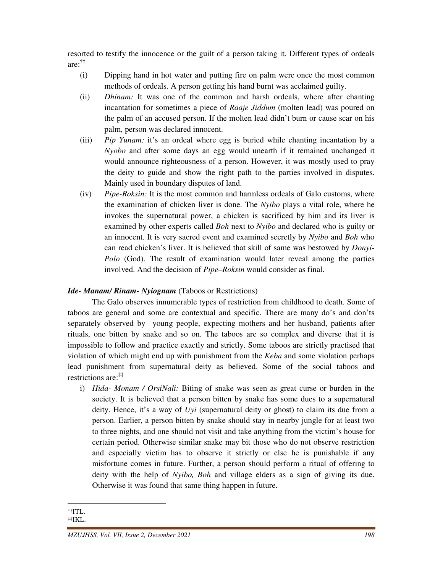resorted to testify the innocence or the guilt of a person taking it. Different types of ordeals are: ††

- (i) Dipping hand in hot water and putting fire on palm were once the most common methods of ordeals. A person getting his hand burnt was acclaimed guilty.
- (ii) *Dhinam:* It was one of the common and harsh ordeals, where after chanting incantation for sometimes a piece of *Raaje Jiddum* (molten lead) was poured on the palm of an accused person. If the molten lead didn't burn or cause scar on his palm, person was declared innocent.
- (iii) *Pip Yunam:* it's an ordeal where egg is buried while chanting incantation by a *Nyobo* and after some days an egg would unearth if it remained unchanged it would announce righteousness of a person. However, it was mostly used to pray the deity to guide and show the right path to the parties involved in disputes. Mainly used in boundary disputes of land.
- (iv) *Pipe-Roksin:* It is the most common and harmless ordeals of Galo customs, where the examination of chicken liver is done. The *Nyibo* plays a vital role, where he invokes the supernatural power, a chicken is sacrificed by him and its liver is examined by other experts called *Boh* next to *Nyibo* and declared who is guilty or an innocent. It is very sacred event and examined secretly by *Nyibo* and *Boh* who can read chicken's liver. It is believed that skill of same was bestowed by *Donyi-Polo* (God). The result of examination would later reveal among the parties involved. And the decision of *Pipe–Roksin* would consider as final.

# *Ide- Manam/ Rinam- Nyiognam* (Taboos or Restrictions)

 The Galo observes innumerable types of restriction from childhood to death. Some of taboos are general and some are contextual and specific. There are many do's and don'ts separately observed by young people, expecting mothers and her husband, patients after rituals, one bitten by snake and so on. The taboos are so complex and diverse that it is impossible to follow and practice exactly and strictly. Some taboos are strictly practised that violation of which might end up with punishment from the *Keba* and some violation perhaps lead punishment from supernatural deity as believed. Some of the social taboos and restrictions are:‡‡

i) *Hida- Monam / OrsiNali:* Biting of snake was seen as great curse or burden in the society. It is believed that a person bitten by snake has some dues to a supernatural deity. Hence, it's a way of *Uyi* (supernatural deity or ghost) to claim its due from a person. Earlier, a person bitten by snake should stay in nearby jungle for at least two to three nights, and one should not visit and take anything from the victim's house for certain period. Otherwise similar snake may bit those who do not observe restriction and especially victim has to observe it strictly or else he is punishable if any misfortune comes in future. Further, a person should perform a ritual of offering to deity with the help of *Nyibo, Boh* and village elders as a sign of giving its due. Otherwise it was found that same thing happen in future.

<sup>††</sup>ITL.

<sup>‡‡</sup>IKL.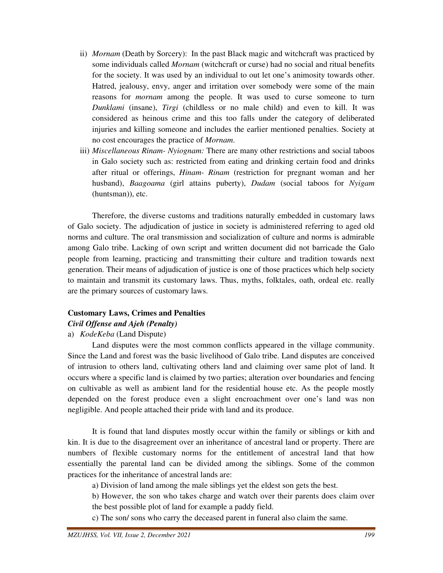- ii) *Mornam* (Death by Sorcery): In the past Black magic and witchcraft was practiced by some individuals called *Mornam* (witchcraft or curse) had no social and ritual benefits for the society. It was used by an individual to out let one's animosity towards other. Hatred, jealousy, envy, anger and irritation over somebody were some of the main reasons for *mornam* among the people. It was used to curse someone to turn *Dunklami* (insane), *Tirgi* (childless or no male child) and even to kill. It was considered as heinous crime and this too falls under the category of deliberated injuries and killing someone and includes the earlier mentioned penalties. Society at no cost encourages the practice of *Mornam*.
- iii) *Miscellaneous Rinam- Nyiognam:* There are many other restrictions and social taboos in Galo society such as: restricted from eating and drinking certain food and drinks after ritual or offerings, *Hinam- Rinam* (restriction for pregnant woman and her husband), *Baagoama* (girl attains puberty), *Dudam* (social taboos for *Nyigam* (huntsman)), etc.

 Therefore, the diverse customs and traditions naturally embedded in customary laws of Galo society. The adjudication of justice in society is administered referring to aged old norms and culture. The oral transmission and socialization of culture and norms is admirable among Galo tribe. Lacking of own script and written document did not barricade the Galo people from learning, practicing and transmitting their culture and tradition towards next generation. Their means of adjudication of justice is one of those practices which help society to maintain and transmit its customary laws. Thus, myths, folktales, oath, ordeal etc. really are the primary sources of customary laws.

# **Customary Laws, Crimes and Penalties**  *Civil Offense and Ajeh (Penalty)*

a) *KodeKeba* (Land Dispute)

 Land disputes were the most common conflicts appeared in the village community. Since the Land and forest was the basic livelihood of Galo tribe. Land disputes are conceived of intrusion to others land, cultivating others land and claiming over same plot of land. It occurs where a specific land is claimed by two parties; alteration over boundaries and fencing on cultivable as well as ambient land for the residential house etc. As the people mostly depended on the forest produce even a slight encroachment over one's land was non negligible. And people attached their pride with land and its produce.

 It is found that land disputes mostly occur within the family or siblings or kith and kin. It is due to the disagreement over an inheritance of ancestral land or property. There are numbers of flexible customary norms for the entitlement of ancestral land that how essentially the parental land can be divided among the siblings. Some of the common practices for the inheritance of ancestral lands are:

a) Division of land among the male siblings yet the eldest son gets the best.

 b) However, the son who takes charge and watch over their parents does claim over the best possible plot of land for example a paddy field.

c) The son/ sons who carry the deceased parent in funeral also claim the same.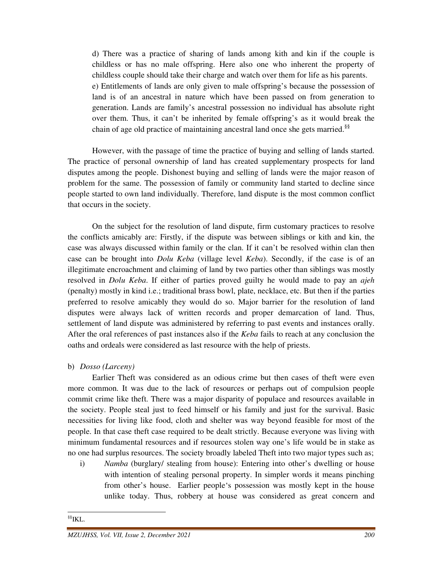d) There was a practice of sharing of lands among kith and kin if the couple is childless or has no male offspring. Here also one who inherent the property of childless couple should take their charge and watch over them for life as his parents. e) Entitlements of lands are only given to male offspring's because the possession of land is of an ancestral in nature which have been passed on from generation to generation. Lands are family's ancestral possession no individual has absolute right over them. Thus, it can't be inherited by female offspring's as it would break the chain of age old practice of maintaining ancestral land once she gets married.<sup>§§</sup>

 However, with the passage of time the practice of buying and selling of lands started. The practice of personal ownership of land has created supplementary prospects for land disputes among the people. Dishonest buying and selling of lands were the major reason of problem for the same. The possession of family or community land started to decline since people started to own land individually. Therefore, land dispute is the most common conflict that occurs in the society.

 On the subject for the resolution of land dispute, firm customary practices to resolve the conflicts amicably are: Firstly, if the dispute was between siblings or kith and kin, the case was always discussed within family or the clan. If it can't be resolved within clan then case can be brought into *Dolu Keba* (village level *Keba*). Secondly, if the case is of an illegitimate encroachment and claiming of land by two parties other than siblings was mostly resolved in *Dolu Keba*. If either of parties proved guilty he would made to pay an *ajeh* (penalty) mostly in kind i.e.; traditional brass bowl, plate, necklace, etc. But then if the parties preferred to resolve amicably they would do so. Major barrier for the resolution of land disputes were always lack of written records and proper demarcation of land. Thus, settlement of land dispute was administered by referring to past events and instances orally. After the oral references of past instances also if the *Keba* fails to reach at any conclusion the oaths and ordeals were considered as last resource with the help of priests.

### b) *Dosso (Larceny)*

 Earlier Theft was considered as an odious crime but then cases of theft were even more common. It was due to the lack of resources or perhaps out of compulsion people commit crime like theft. There was a major disparity of populace and resources available in the society. People steal just to feed himself or his family and just for the survival. Basic necessities for living like food, cloth and shelter was way beyond feasible for most of the people. In that case theft case required to be dealt strictly. Because everyone was living with minimum fundamental resources and if resources stolen way one's life would be in stake as no one had surplus resources. The society broadly labeled Theft into two major types such as;

i) *Namba* (burglary/ stealing from house): Entering into other's dwelling or house with intention of stealing personal property. In simpler words it means pinching from other's house. Earlier people's possession was mostly kept in the house unlike today. Thus, robbery at house was considered as great concern and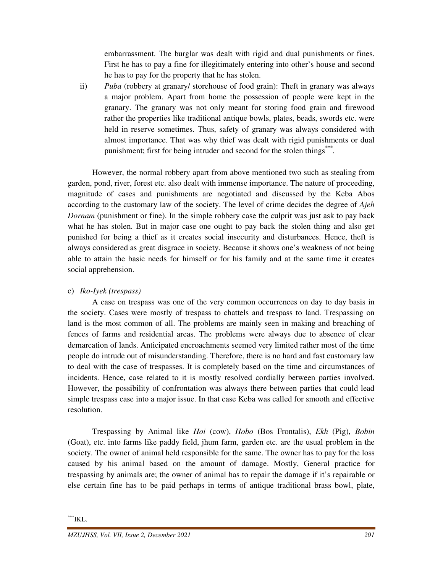embarrassment. The burglar was dealt with rigid and dual punishments or fines. First he has to pay a fine for illegitimately entering into other's house and second he has to pay for the property that he has stolen.

ii) *Puba* (robbery at granary/ storehouse of food grain): Theft in granary was always a major problem. Apart from home the possession of people were kept in the granary. The granary was not only meant for storing food grain and firewood rather the properties like traditional antique bowls, plates, beads, swords etc. were held in reserve sometimes. Thus, safety of granary was always considered with almost importance. That was why thief was dealt with rigid punishments or dual punishment; first for being intruder and second for the stolen things\*\*\*.

 However, the normal robbery apart from above mentioned two such as stealing from garden, pond, river, forest etc. also dealt with immense importance. The nature of proceeding, magnitude of cases and punishments are negotiated and discussed by the Keba Abos according to the customary law of the society. The level of crime decides the degree of *Ajeh Dornam* (punishment or fine). In the simple robbery case the culprit was just ask to pay back what he has stolen. But in major case one ought to pay back the stolen thing and also get punished for being a thief as it creates social insecurity and disturbances. Hence, theft is always considered as great disgrace in society. Because it shows one's weakness of not being able to attain the basic needs for himself or for his family and at the same time it creates social apprehension.

# c) *Iko-Iyek (trespass)*

 A case on trespass was one of the very common occurrences on day to day basis in the society. Cases were mostly of trespass to chattels and trespass to land. Trespassing on land is the most common of all. The problems are mainly seen in making and breaching of fences of farms and residential areas. The problems were always due to absence of clear demarcation of lands. Anticipated encroachments seemed very limited rather most of the time people do intrude out of misunderstanding. Therefore, there is no hard and fast customary law to deal with the case of trespasses. It is completely based on the time and circumstances of incidents. Hence, case related to it is mostly resolved cordially between parties involved. However, the possibility of confrontation was always there between parties that could lead simple trespass case into a major issue. In that case Keba was called for smooth and effective resolution.

 Trespassing by Animal like *Hoi* (cow), *Hobo* (Bos Frontalis), *Ekh* (Pig), *Bobin*  (Goat), etc. into farms like paddy field, jhum farm, garden etc. are the usual problem in the society. The owner of animal held responsible for the same. The owner has to pay for the loss caused by his animal based on the amount of damage. Mostly, General practice for trespassing by animals are; the owner of animal has to repair the damage if it's repairable or else certain fine has to be paid perhaps in terms of antique traditional brass bowl, plate,

 $^{\ast\ast\ast}$ IKL.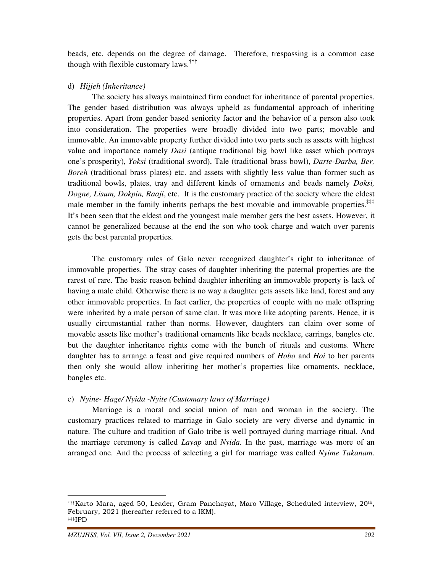beads, etc. depends on the degree of damage. Therefore, trespassing is a common case though with flexible customary laws.†††

# d) *Hijjeh (Inheritance)*

 The society has always maintained firm conduct for inheritance of parental properties. The gender based distribution was always upheld as fundamental approach of inheriting properties. Apart from gender based seniority factor and the behavior of a person also took into consideration. The properties were broadly divided into two parts; movable and immovable. An immovable property further divided into two parts such as assets with highest value and importance namely *Dasi* (antique traditional big bowl like asset which portrays one's prosperity), *Yoksi* (traditional sword), Tale (traditional brass bowl), *Darte-Darba, Ber, Boreh* (traditional brass plates) etc. and assets with slightly less value than former such as traditional bowls, plates, tray and different kinds of ornaments and beads namely *Doksi, Dogne, Lisum, Dokpin, Raaji*, etc. It is the customary practice of the society where the eldest male member in the family inherits perhaps the best movable and immovable properties.<sup>‡‡‡</sup> It's been seen that the eldest and the youngest male member gets the best assets. However, it cannot be generalized because at the end the son who took charge and watch over parents gets the best parental properties.

 The customary rules of Galo never recognized daughter's right to inheritance of immovable properties. The stray cases of daughter inheriting the paternal properties are the rarest of rare. The basic reason behind daughter inheriting an immovable property is lack of having a male child. Otherwise there is no way a daughter gets assets like land, forest and any other immovable properties. In fact earlier, the properties of couple with no male offspring were inherited by a male person of same clan. It was more like adopting parents. Hence, it is usually circumstantial rather than norms. However, daughters can claim over some of movable assets like mother's traditional ornaments like beads necklace, earrings, bangles etc. but the daughter inheritance rights come with the bunch of rituals and customs. Where daughter has to arrange a feast and give required numbers of *Hobo* and *Hoi* to her parents then only she would allow inheriting her mother's properties like ornaments, necklace, bangles etc.

# e) *Nyine- Hage/ Nyida -Nyite (Customary laws of Marriage)*

 Marriage is a moral and social union of man and woman in the society. The customary practices related to marriage in Galo society are very diverse and dynamic in nature. The culture and tradition of Galo tribe is well portrayed during marriage ritual. And the marriage ceremony is called *Layap* and *Nyida*. In the past, marriage was more of an arranged one. And the process of selecting a girl for marriage was called *Nyime Takanam*.

<sup>†††</sup>Karto Mara, aged 50, Leader, Gram Panchayat, Maro Village, Scheduled interview, 20th, February, 2021 (hereafter referred to a IKM). ‡‡‡IPD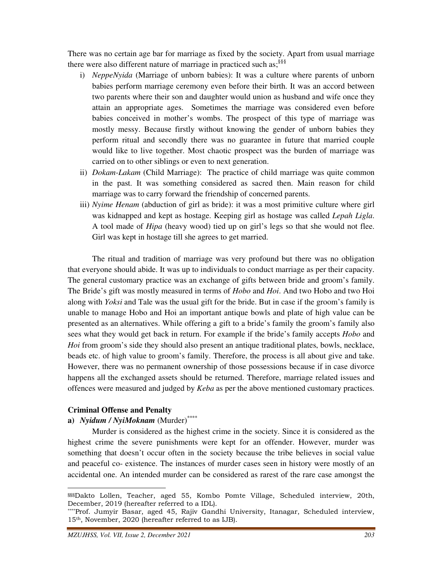There was no certain age bar for marriage as fixed by the society. Apart from usual marriage there were also different nature of marriage in practiced such as;<sup>§§§</sup>

- i) *NeppeNyida* (Marriage of unborn babies): It was a culture where parents of unborn babies perform marriage ceremony even before their birth. It was an accord between two parents where their son and daughter would union as husband and wife once they attain an appropriate ages. Sometimes the marriage was considered even before babies conceived in mother's wombs. The prospect of this type of marriage was mostly messy. Because firstly without knowing the gender of unborn babies they perform ritual and secondly there was no guarantee in future that married couple would like to live together. Most chaotic prospect was the burden of marriage was carried on to other siblings or even to next generation.
- ii) *Dokam-Lakam* (Child Marriage): The practice of child marriage was quite common in the past. It was something considered as sacred then. Main reason for child marriage was to carry forward the friendship of concerned parents.
- iii) *Nyime Henam* (abduction of girl as bride): it was a most primitive culture where girl was kidnapped and kept as hostage. Keeping girl as hostage was called *Lepah Ligla*. A tool made of *Hipa* (heavy wood) tied up on girl's legs so that she would not flee. Girl was kept in hostage till she agrees to get married.

 The ritual and tradition of marriage was very profound but there was no obligation that everyone should abide. It was up to individuals to conduct marriage as per their capacity. The general customary practice was an exchange of gifts between bride and groom's family. The Bride's gift was mostly measured in terms of *Hobo* and *Hoi*. And two Hobo and two Hoi along with *Yoksi* and Tale was the usual gift for the bride. But in case if the groom's family is unable to manage Hobo and Hoi an important antique bowls and plate of high value can be presented as an alternatives. While offering a gift to a bride's family the groom's family also sees what they would get back in return. For example if the bride's family accepts *Hobo* and *Hoi* from groom's side they should also present an antique traditional plates, bowls, necklace, beads etc. of high value to groom's family. Therefore, the process is all about give and take. However, there was no permanent ownership of those possessions because if in case divorce happens all the exchanged assets should be returned. Therefore, marriage related issues and offences were measured and judged by *Keba* as per the above mentioned customary practices.

# **Criminal Offense and Penalty**

 $\overline{a}$ 

# **a)** *Nyidum / NyiMoknam* (Murder)\*\*\*\*

 Murder is considered as the highest crime in the society. Since it is considered as the highest crime the severe punishments were kept for an offender. However, murder was something that doesn't occur often in the society because the tribe believes in social value and peaceful co- existence. The instances of murder cases seen in history were mostly of an accidental one. An intended murder can be considered as rarest of the rare case amongst the

<sup>§§§</sup>Dakto Lollen, Teacher, aged 55, Kombo Pomte Village, Scheduled interview, 20th, December, 2019 (hereafter referred to a IDL).

<sup>\*\*\*\*</sup>Prof. Jumyir Basar, aged 45, Rajiv Gandhi University, Itanagar, Scheduled interview, 15th, November, 2020 (hereafter referred to as IJB).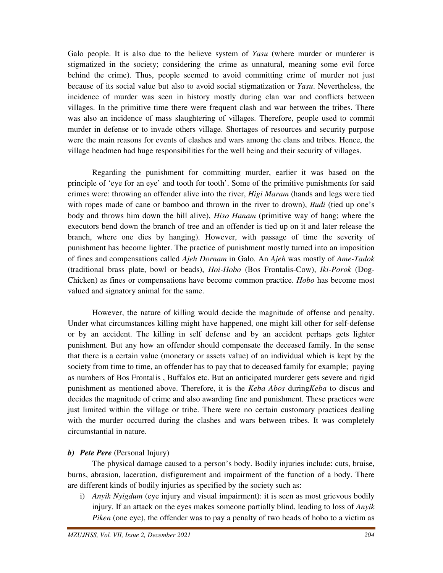Galo people. It is also due to the believe system of *Yasu* (where murder or murderer is stigmatized in the society; considering the crime as unnatural, meaning some evil force behind the crime). Thus, people seemed to avoid committing crime of murder not just because of its social value but also to avoid social stigmatization or *Yasu*. Nevertheless, the incidence of murder was seen in history mostly during clan war and conflicts between villages. In the primitive time there were frequent clash and war between the tribes. There was also an incidence of mass slaughtering of villages. Therefore, people used to commit murder in defense or to invade others village. Shortages of resources and security purpose were the main reasons for events of clashes and wars among the clans and tribes. Hence, the village headmen had huge responsibilities for the well being and their security of villages.

 Regarding the punishment for committing murder, earlier it was based on the principle of 'eye for an eye' and tooth for tooth'. Some of the primitive punishments for said crimes were: throwing an offender alive into the river, *Higi Maram* (hands and legs were tied with ropes made of cane or bamboo and thrown in the river to drown), *Budi* (tied up one's body and throws him down the hill alive), *Hiso Hanam* (primitive way of hang; where the executors bend down the branch of tree and an offender is tied up on it and later release the branch, where one dies by hanging). However, with passage of time the severity of punishment has become lighter. The practice of punishment mostly turned into an imposition of fines and compensations called *Ajeh Dornam* in Galo. An *Ajeh* was mostly of *Ame-Tadok*  (traditional brass plate, bowl or beads), *Hoi-Hobo* (Bos Frontalis-Cow), *Iki-Porok* (Dog-Chicken) as fines or compensations have become common practice. *Hobo* has become most valued and signatory animal for the same.

 However, the nature of killing would decide the magnitude of offense and penalty. Under what circumstances killing might have happened, one might kill other for self-defense or by an accident. The killing in self defense and by an accident perhaps gets lighter punishment. But any how an offender should compensate the deceased family. In the sense that there is a certain value (monetary or assets value) of an individual which is kept by the society from time to time, an offender has to pay that to deceased family for example; paying as numbers of Bos Frontalis , Buffalos etc. But an anticipated murderer gets severe and rigid punishment as mentioned above. Therefore, it is the *Keba Abos* during*Keba* to discus and decides the magnitude of crime and also awarding fine and punishment. These practices were just limited within the village or tribe. There were no certain customary practices dealing with the murder occurred during the clashes and wars between tribes. It was completely circumstantial in nature.

# *b) Pete Pere* (Personal Injury)

 The physical damage caused to a person's body. Bodily injuries include: cuts, bruise, burns, abrasion, laceration, disfigurement and impairment of the function of a body. There are different kinds of bodily injuries as specified by the society such as:

i) *Anyik Nyigdum* (eye injury and visual impairment): it is seen as most grievous bodily injury. If an attack on the eyes makes someone partially blind, leading to loss of *Anyik Piken* (one eye), the offender was to pay a penalty of two heads of hobo to a victim as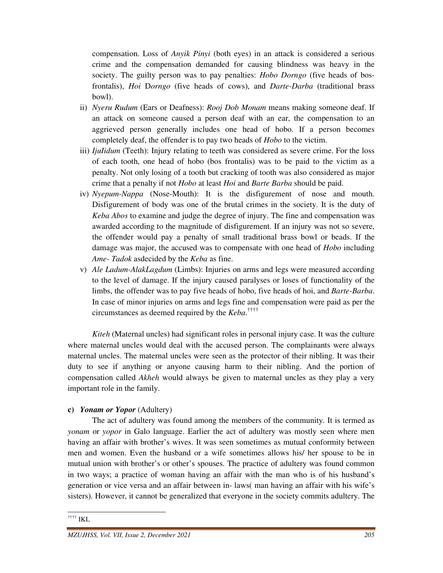compensation. Loss of *Anyik Pinyi* (both eyes) in an attack is considered a serious crime and the compensation demanded for causing blindness was heavy in the society. The guilty person was to pay penalties: *Hobo Dorngo* (five heads of bosfrontalis), *Hoi* D*orngo* (five heads of cows), and *Darte-Darba* (traditional brass bowl).

- ii) *Nyeru Rudum* (Ears or Deafness): *Rooj Dob Monam* means making someone deaf. If an attack on someone caused a person deaf with an ear, the compensation to an aggrieved person generally includes one head of hobo. If a person becomes completely deaf, the offender is to pay two heads of *Hobo* to the victim.
- iii) *IjuIidum* (Teeth): Injury relating to teeth was considered as severe crime. For the loss of each tooth, one head of hobo (bos frontalis) was to be paid to the victim as a penalty. Not only losing of a tooth but cracking of tooth was also considered as major crime that a penalty if not *Hobo* at least *Hoi* and *Barte Barba* should be paid.
- iv) *Nyepum-Nappa* (Nose-Mouth): It is the disfigurement of nose and mouth. Disfigurement of body was one of the brutal crimes in the society. It is the duty of *Keba Abos* to examine and judge the degree of injury. The fine and compensation was awarded according to the magnitude of disfigurement. If an injury was not so severe, the offender would pay a penalty of small traditional brass bowl or beads. If the damage was major, the accused was to compensate with one head of *Hobo* including *Ame- Tadok* asdecided by the *Keba* as fine.
- v) *Ale Ladum-AlakLagdum* (Limbs): Injuries on arms and legs were measured according to the level of damage. If the injury caused paralyses or loses of functionality of the limbs, the offender was to pay five heads of hobo, five heads of hoi, and *Barte-Barba*. In case of minor injuries on arms and legs fine and compensation were paid as per the circumstances as deemed required by the *Keba*. ††††

*Kiteh* (Maternal uncles) had significant roles in personal injury case. It was the culture where maternal uncles would deal with the accused person. The complainants were always maternal uncles. The maternal uncles were seen as the protector of their nibling. It was their duty to see if anything or anyone causing harm to their nibling. And the portion of compensation called *Akheh* would always be given to maternal uncles as they play a very important role in the family.

# **c)** *Yonam or Yopor* (Adultery)

 The act of adultery was found among the members of the community. It is termed as *yonam* or *yopor* in Galo language. Earlier the act of adultery was mostly seen where men having an affair with brother's wives. It was seen sometimes as mutual conformity between men and women. Even the husband or a wife sometimes allows his/ her spouse to be in mutual union with brother's or other's spouses. The practice of adultery was found common in two ways; a practice of woman having an affair with the man who is of his husband's generation or vice versa and an affair between in- laws( man having an affair with his wife's sisters). However, it cannot be generalized that everyone in the society commits adultery. The

 $^{\dagger\dagger\dagger\dagger}$ IKL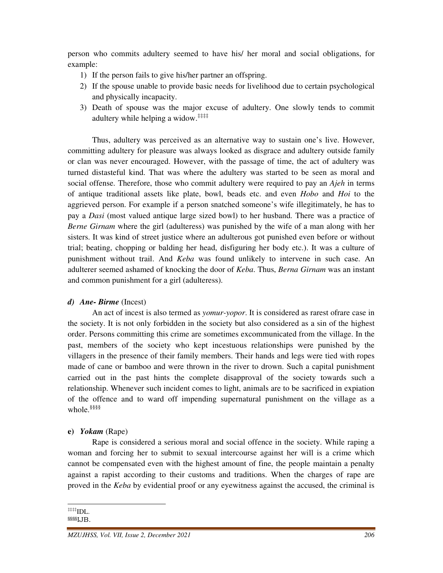person who commits adultery seemed to have his/ her moral and social obligations, for example:

- 1) If the person fails to give his/her partner an offspring.
- 2) If the spouse unable to provide basic needs for livelihood due to certain psychological and physically incapacity.
- 3) Death of spouse was the major excuse of adultery. One slowly tends to commit adultery while helping a widow.<sup>‡‡‡‡†</sup>

 Thus, adultery was perceived as an alternative way to sustain one's live. However, committing adultery for pleasure was always looked as disgrace and adultery outside family or clan was never encouraged. However, with the passage of time, the act of adultery was turned distasteful kind. That was where the adultery was started to be seen as moral and social offense. Therefore, those who commit adultery were required to pay an *Ajeh* in terms of antique traditional assets like plate, bowl, beads etc. and even *Hobo* and *Hoi* to the aggrieved person. For example if a person snatched someone's wife illegitimately, he has to pay a *Dasi* (most valued antique large sized bowl) to her husband. There was a practice of *Berne Girnam* where the girl (adulteress) was punished by the wife of a man along with her sisters. It was kind of street justice where an adulterous got punished even before or without trial; beating, chopping or balding her head, disfiguring her body etc.). It was a culture of punishment without trail. And *Keba* was found unlikely to intervene in such case. An adulterer seemed ashamed of knocking the door of *Keba*. Thus, *Berna Girnam* was an instant and common punishment for a girl (adulteress).

### *d) Ane- Birme* (Incest)

 An act of incest is also termed as *yomur-yopor*. It is considered as rarest ofrare case in the society. It is not only forbidden in the society but also considered as a sin of the highest order. Persons committing this crime are sometimes excommunicated from the village. In the past, members of the society who kept incestuous relationships were punished by the villagers in the presence of their family members. Their hands and legs were tied with ropes made of cane or bamboo and were thrown in the river to drown. Such a capital punishment carried out in the past hints the complete disapproval of the society towards such a relationship. Whenever such incident comes to light, animals are to be sacrificed in expiation of the offence and to ward off impending supernatural punishment on the village as a whole.<sup>§§§§</sup>

### **e)** *Yokam* (Rape)

 Rape is considered a serious moral and social offence in the society. While raping a woman and forcing her to submit to sexual intercourse against her will is a crime which cannot be compensated even with the highest amount of fine, the people maintain a penalty against a rapist according to their customs and traditions. When the charges of rape are proved in the *Keba* by evidential proof or any eyewitness against the accused, the criminal is

<u>.</u>

 $\overline{L}$  IDL. §§§§IJB.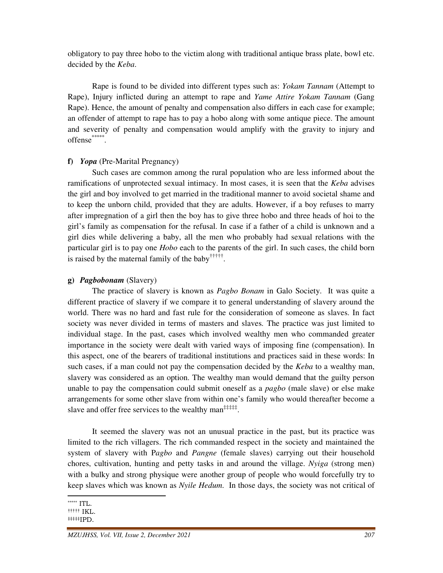obligatory to pay three hobo to the victim along with traditional antique brass plate, bowl etc. decided by the *Keba*.

 Rape is found to be divided into different types such as: *Yokam Tannam* (Attempt to Rape), Injury inflicted during an attempt to rape and *Yame Attire Yokam Tannam* (Gang Rape). Hence, the amount of penalty and compensation also differs in each case for example; an offender of attempt to rape has to pay a hobo along with some antique piece. The amount and severity of penalty and compensation would amplify with the gravity to injury and offense\*\*\*\*\*\*.

#### **f)** *Yopa* (Pre-Marital Pregnancy)

 Such cases are common among the rural population who are less informed about the ramifications of unprotected sexual intimacy. In most cases, it is seen that the *Keba* advises the girl and boy involved to get married in the traditional manner to avoid societal shame and to keep the unborn child, provided that they are adults. However, if a boy refuses to marry after impregnation of a girl then the boy has to give three hobo and three heads of hoi to the girl's family as compensation for the refusal. In case if a father of a child is unknown and a girl dies while delivering a baby, all the men who probably had sexual relations with the particular girl is to pay one *Hobo* each to the parents of the girl. In such cases, the child born is raised by the maternal family of the baby††††† .

#### **g)** *Pagbobonam* (Slavery)

 The practice of slavery is known as *Pagbo Bonam* in Galo Society. It was quite a different practice of slavery if we compare it to general understanding of slavery around the world. There was no hard and fast rule for the consideration of someone as slaves. In fact society was never divided in terms of masters and slaves. The practice was just limited to individual stage. In the past, cases which involved wealthy men who commanded greater importance in the society were dealt with varied ways of imposing fine (compensation). In this aspect, one of the bearers of traditional institutions and practices said in these words: In such cases, if a man could not pay the compensation decided by the *Keba* to a wealthy man, slavery was considered as an option. The wealthy man would demand that the guilty person unable to pay the compensation could submit oneself as a *pagbo* (male slave) or else make arrangements for some other slave from within one's family who would thereafter become a slave and offer free services to the wealthy man<sup> $\ddagger$  $\ddagger$ </sup># $\ddagger$  $\ddagger$ .

 It seemed the slavery was not an unusual practice in the past, but its practice was limited to the rich villagers. The rich commanded respect in the society and maintained the system of slavery with P*agbo* and *Pangne* (female slaves) carrying out their household chores, cultivation, hunting and petty tasks in and around the village. *Nyiga* (strong men) with a bulky and strong physique were another group of people who would forcefully try to keep slaves which was known as *Nyile Hedum*. In those days, the society was not critical of

<sup>\*\*\*\*\*</sup> ITL.

<sup>†††††</sup> IKL. ‡‡‡‡‡IPD.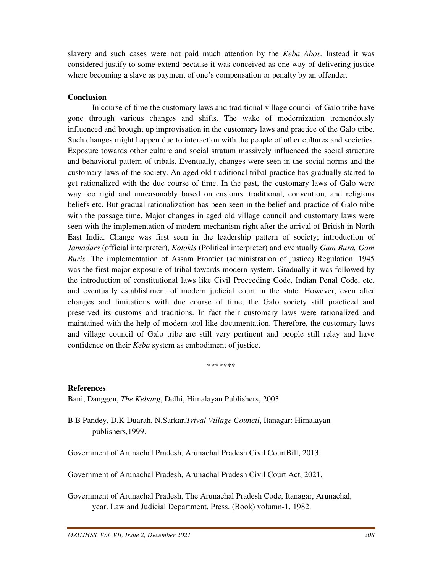slavery and such cases were not paid much attention by the *Keba Abos*. Instead it was considered justify to some extend because it was conceived as one way of delivering justice where becoming a slave as payment of one's compensation or penalty by an offender.

### **Conclusion**

In course of time the customary laws and traditional village council of Galo tribe have gone through various changes and shifts. The wake of modernization tremendously influenced and brought up improvisation in the customary laws and practice of the Galo tribe. Such changes might happen due to interaction with the people of other cultures and societies. Exposure towards other culture and social stratum massively influenced the social structure and behavioral pattern of tribals. Eventually, changes were seen in the social norms and the customary laws of the society. An aged old traditional tribal practice has gradually started to get rationalized with the due course of time. In the past, the customary laws of Galo were way too rigid and unreasonably based on customs, traditional, convention, and religious beliefs etc. But gradual rationalization has been seen in the belief and practice of Galo tribe with the passage time. Major changes in aged old village council and customary laws were seen with the implementation of modern mechanism right after the arrival of British in North East India. Change was first seen in the leadership pattern of society; introduction of *Jamadars* (official interpreter), *Kotokis* (Political interpreter) and eventually *Gam Bura, Gam Buris.* The implementation of Assam Frontier (administration of justice) Regulation, 1945 was the first major exposure of tribal towards modern system. Gradually it was followed by the introduction of constitutional laws like Civil Proceeding Code, Indian Penal Code, etc. and eventually establishment of modern judicial court in the state. However, even after changes and limitations with due course of time, the Galo society still practiced and preserved its customs and traditions. In fact their customary laws were rationalized and maintained with the help of modern tool like documentation. Therefore, the customary laws and village council of Galo tribe are still very pertinent and people still relay and have confidence on their *Keba* system as embodiment of justice.

\*\*\*\*\*\*\*

### **References**

Bani, Danggen, *The Kebang*, Delhi, Himalayan Publishers, 2003.

B.B Pandey, D.K Duarah, N.Sarkar.*Trival Village Council*, Itanagar: Himalayan publishers,1999.

Government of Arunachal Pradesh, Arunachal Pradesh Civil CourtBill, 2013.

Government of Arunachal Pradesh, Arunachal Pradesh Civil Court Act, 2021.

Government of Arunachal Pradesh, The Arunachal Pradesh Code, Itanagar, Arunachal, year. Law and Judicial Department, Press. (Book) volumn-1, 1982.